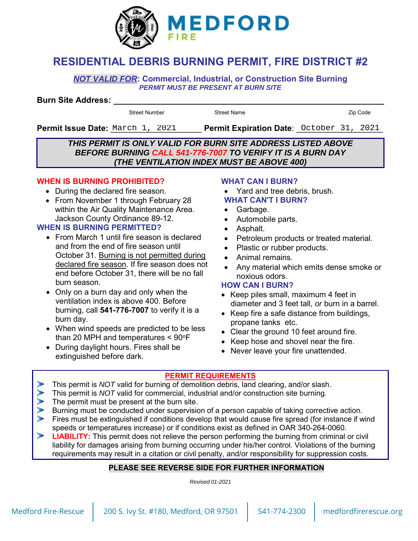

# **RESIDENTIAL DEBRIS BURNING PERMIT, FIRE DISTRICT #2**

*NOT VALID FOR***: Commercial, Industrial, or Construction Site Burning** *PERMIT MUST BE PRESENT AT BURN SITE* 

#### **Burn Site Address:**

Street Number Street Name **Street Number** 2ip Code

Permit Issue Date: March 1, 2021 **Permit Expiration Date**: October 31, 2021

#### *THIS PERMIT IS ONLY VALID FOR BURN SITE ADDRESS LISTED ABOVE BEFORE BURNING CALL 541-776-7007 TO VERIFY IT IS A BURN DAY (THE VENTILATION INDEX MUST BE ABOVE 400)*

#### **WHEN IS BURNING PROHIBITED?**

- During the declared fire season.
- From November 1 through February 28 within the Air Quality Maintenance Area. Jackson County Ordinance 89-12.

#### **WHEN IS BURNING PERMITTED?**

- From March 1 until fire season is declared and from the end of fire season until October 31. Burning is not permitted during declared fire season. If fire season does not end before October 31, there will be no fall burn season.
- Only on a burn day and only when the ventilation index is above 400. Before burning, call **541-776-7007** to verify it is a burn day.
- When wind speeds are predicted to be less than 20 MPH and temperatures  $< 90^{\circ}$ F
- During daylight hours. Fires shall be extinguished before dark.

#### **WHAT CAN I BURN?**

- Yard and tree debris, brush.
- **WHAT CAN'T I BURN?**
- Garbage.
- Automobile parts.
- Asphalt.
- Petroleum products or treated material.
- Plastic or rubber products.
- Animal remains.
- Any material which emits dense smoke or noxious odors.

#### **HOW CAN I BURN?**

- Keep piles small, maximum 4 feet in diameter and 3 feet tall, *or* burn in a barrel.
- Keep fire a safe distance from buildings, propane tanks etc.
- Clear the ground 10 feet around fire.
- Keep hose and shovel near the fire.
- Never leave your fire unattended.

#### **PERMIT REQUIREMENTS**

- This permit is *NOT* valid for burning of demolition debris, land clearing, and/or slash.
- This permit is *NOT* valid for commercial, industrial and/or construction site burning.
- The permit must be present at the burn site.
- Burning must be conducted under supervision of a person capable of taking corrective action.
- Fires must be extinguished if conditions develop that would cause fire spread (for instance if wind speeds or temperatures increase) or if conditions exist as defined in OAR 340-264-0060.
- **LIABILITY:** This permit does not relieve the person performing the burning from criminal or civil liability for damages arising from burning occurring under his/her control. Violations of the burning requirements may result in a citation or civil penalty, and/or responsibility for suppression costs.

### **PLEASE SEE REVERSE SIDE FOR FURTHER INFORMATION**

*Revised 01-2021*